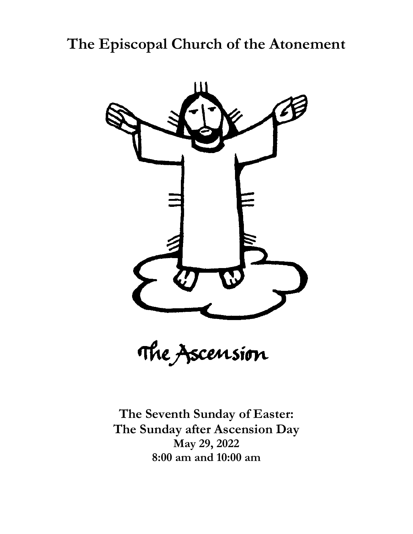# **The Episcopal Church of the Atonement**



The Ascension

**The Seventh Sunday of Easter: The Sunday after Ascension Day May 29, 2022 8:00 am and 10:00 am**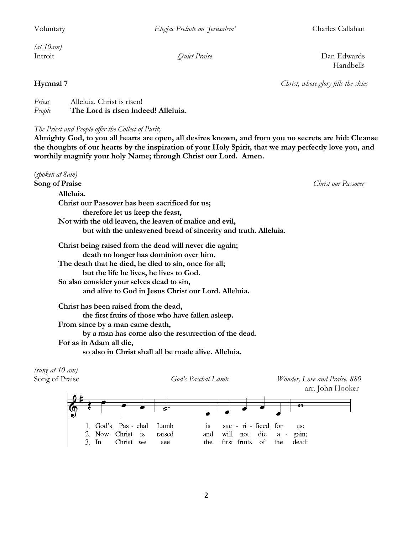Voluntary *Elegiac Prelude on 'Jerusalem'* Charles Callahan

*(at 10am)*

Introit *Quiet Praise* Dan Edwards

Handbells

**Hymnal 7** *Christ, whose glory fills the skies* 

*Priest* Alleluia. Christ is risen! *People* **The Lord is risen indeed! Alleluia.**

# *The Priest and People offer the Collect of Purity*

**Almighty God, to you all hearts are open, all desires known, and from you no secrets are hid: Cleanse the thoughts of our hearts by the inspiration of your Holy Spirit, that we may perfectly love you, and worthily magnify your holy Name; through Christ our Lord. Amen.**

| <i>(spoken at 8am)</i>                                                              |                                                                 |                              |
|-------------------------------------------------------------------------------------|-----------------------------------------------------------------|------------------------------|
| <b>Song of Praise</b>                                                               |                                                                 | Christ our Passover          |
| Alleluia.                                                                           |                                                                 |                              |
| Christ our Passover has been sacrificed for us;<br>therefore let us keep the feast, |                                                                 |                              |
|                                                                                     | Not with the old leaven, the leaven of malice and evil,         |                              |
|                                                                                     | but with the unleavened bread of sincerity and truth. Alleluia. |                              |
|                                                                                     | Christ being raised from the dead will never die again;         |                              |
|                                                                                     | death no longer has dominion over him.                          |                              |
| The death that he died, he died to sin, once for all;                               |                                                                 |                              |
| but the life he lives, he lives to God.                                             |                                                                 |                              |
| So also consider your selves dead to sin,                                           |                                                                 |                              |
|                                                                                     | and alive to God in Jesus Christ our Lord. Alleluia.            |                              |
| Christ has been raised from the dead,                                               |                                                                 |                              |
|                                                                                     | the first fruits of those who have fallen as leep.              |                              |
| From since by a man came death,                                                     |                                                                 |                              |
|                                                                                     | by a man has come also the resurrection of the dead.            |                              |
| For as in Adam all die,                                                             |                                                                 |                              |
|                                                                                     | so also in Christ shall all be made alive. Alleluia.            |                              |
| (sung at 10 am)                                                                     |                                                                 |                              |
| Song of Praise                                                                      | God's Paschal Lamb                                              | Wonder, Love and Praise, 880 |

arr. John Hooker

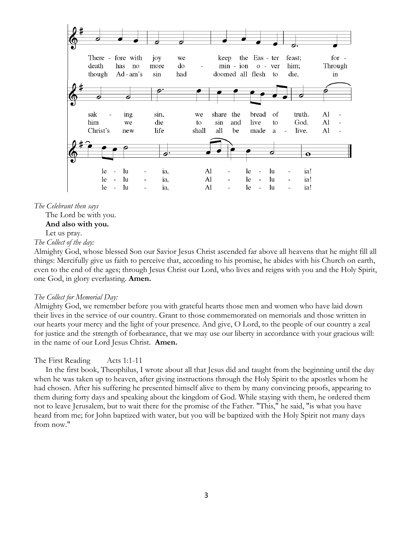

### *The Celebrant then says*

The Lord be with you.

#### **And also with you.**

Let us pray.

# *The Collect of the day:*

Almighty God, whose blessed Son our Savior Jesus Christ ascended far above all heavens that he might fill all things: Mercifully give us faith to perceive that, according to his promise, he abides with his Church on earth, even to the end of the ages; through Jesus Christ our Lord, who lives and reigns with you and the Holy Spirit, one God, in glory everlasting. **Amen.**

### *The Collect for Memorial Day:*

Almighty God, we remember before you with grateful hearts those men and women who have laid down their lives in the service of our country. Grant to those commemorated on memorials and those written in our hearts your mercy and the light of your presence. And give, O Lord, to the people of our country a zeal for justice and the strength of forbearance, that we may use our liberty in accordance with your gracious will: in the name of our Lord Jesus Christ. **Amen.**

# The First Reading Acts 1:1-11

In the first book, Theophilus, I wrote about all that Jesus did and taught from the beginning until the day when he was taken up to heaven, after giving instructions through the Holy Spirit to the apostles whom he had chosen. After his suffering he presented himself alive to them by many convincing proofs, appearing to them during forty days and speaking about the kingdom of God. While staying with them, he ordered them not to leave Jerusalem, but to wait there for the promise of the Father. "This," he said, "is what you have heard from me; for John baptized with water, but you will be baptized with the Holy Spirit not many days from now."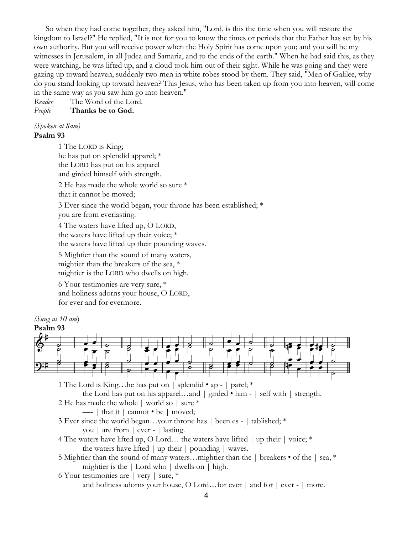So when they had come together, they asked him, "Lord, is this the time when you will restore the kingdom to Israel?" He replied, "It is not for you to know the times or periods that the Father has set by his own authority. But you will receive power when the Holy Spirit has come upon you; and you will be my witnesses in Jerusalem, in all Judea and Samaria, and to the ends of the earth." When he had said this, as they were watching, he was lifted up, and a cloud took him out of their sight. While he was going and they were gazing up toward heaven, suddenly two men in white robes stood by them. They said, "Men of Galilee, why do you stand looking up toward heaven? This Jesus, who has been taken up from you into heaven, will come in the same way as you saw him go into heaven."

*Reader* The Word of the Lord.

*People* **Thanks be to God.**

# *(Spoken at 8am)*

**Psalm 93**

1 The LORD is King; he has put on splendid apparel; \* the LORD has put on his apparel and girded himself with strength.

2 He has made the whole world so sure \* that it cannot be moved;

3 Ever since the world began, your throne has been established; \* you are from everlasting.

4 The waters have lifted up, O LORD, the waters have lifted up their voice; \* the waters have lifted up their pounding waves.

5 Mightier than the sound of many waters, mightier than the breakers of the sea, \* mightier is the LORD who dwells on high.

6 Your testimonies are very sure, \* and holiness adorns your house, O LORD, for ever and for evermore.

# *(Sung at 10 am*)



the waters have lifted | up their | pounding | waves.

- 5 Mightier than the sound of many waters…mightier than the | breakers of the | sea, \* mightier is the | Lord who | dwells on | high.
- 6 Your testimonies are | very | sure, \*

and holiness adorns your house, O Lord...for ever | and for | ever - | more.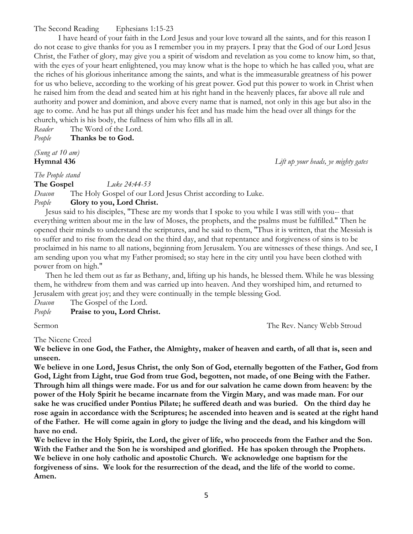The Second Reading Ephesians 1:15-23

I have heard of your faith in the Lord Jesus and your love toward all the saints, and for this reason I do not cease to give thanks for you as I remember you in my prayers. I pray that the God of our Lord Jesus Christ, the Father of glory, may give you a spirit of wisdom and revelation as you come to know him, so that, with the eyes of your heart enlightened, you may know what is the hope to which he has called you, what are the riches of his glorious inheritance among the saints, and what is the immeasurable greatness of his power for us who believe, according to the working of his great power. God put this power to work in Christ when he raised him from the dead and seated him at his right hand in the heavenly places, far above all rule and authority and power and dominion, and above every name that is named, not only in this age but also in the age to come. And he has put all things under his feet and has made him the head over all things for the church, which is his body, the fullness of him who fills all in all.

*Reader* The Word of the Lord.

*People* **Thanks be to God.**

*(Sung at 10 am)*

**Hymnal 436** *Lift up your heads, ye mighty gates*

*The People stand*

**The Gospel** *Luke 24:44-53*

*Deacon* The Holy Gospel of our Lord Jesus Christ according to Luke.

# *People* **Glory to you, Lord Christ.**

Jesus said to his disciples, "These are my words that I spoke to you while I was still with you-- that everything written about me in the law of Moses, the prophets, and the psalms must be fulfilled." Then he opened their minds to understand the scriptures, and he said to them, "Thus it is written, that the Messiah is to suffer and to rise from the dead on the third day, and that repentance and forgiveness of sins is to be proclaimed in his name to all nations, beginning from Jerusalem. You are witnesses of these things. And see, I am sending upon you what my Father promised; so stay here in the city until you have been clothed with power from on high."

Then he led them out as far as Bethany, and, lifting up his hands, he blessed them. While he was blessing them, he withdrew from them and was carried up into heaven. And they worshiped him, and returned to Jerusalem with great joy; and they were continually in the temple blessing God.

*Deacon* The Gospel of the Lord.

*People* **Praise to you, Lord Christ.** 

Sermon The Rev. Nancy Webb Stroud

The Nicene Creed

**We believe in one God, the Father, the Almighty, maker of heaven and earth, of all that is, seen and unseen.**

**We believe in one Lord, Jesus Christ, the only Son of God, eternally begotten of the Father, God from God, Light from Light, true God from true God, begotten, not made, of one Being with the Father. Through him all things were made. For us and for our salvation he came down from heaven: by the power of the Holy Spirit he became incarnate from the Virgin Mary, and was made man. For our sake he was crucified under Pontius Pilate; he suffered death and was buried. On the third day he rose again in accordance with the Scriptures; he ascended into heaven and is seated at the right hand of the Father. He will come again in glory to judge the living and the dead, and his kingdom will have no end.**

**We believe in the Holy Spirit, the Lord, the giver of life, who proceeds from the Father and the Son. With the Father and the Son he is worshiped and glorified. He has spoken through the Prophets. We believe in one holy catholic and apostolic Church. We acknowledge one baptism for the forgiveness of sins. We look for the resurrection of the dead, and the life of the world to come. Amen.**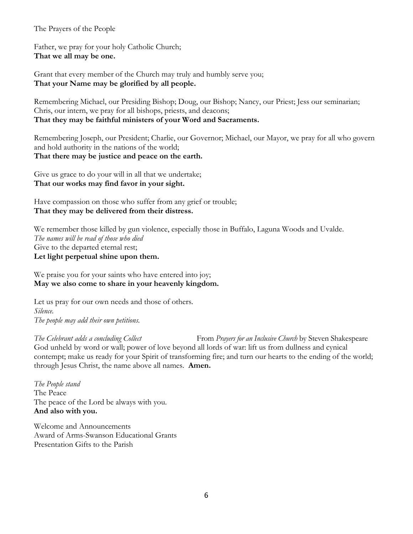The Prayers of the People

Father, we pray for your holy Catholic Church; **That we all may be one.** 

Grant that every member of the Church may truly and humbly serve you; **That your Name may be glorified by all people.** 

Remembering Michael, our Presiding Bishop; Doug, our Bishop; Nancy, our Priest; Jess our seminarian; Chris, our intern, we pray for all bishops, priests, and deacons; **That they may be faithful ministers of your Word and Sacraments.** 

Remembering Joseph, our President; Charlie, our Governor; Michael, our Mayor, we pray for all who govern and hold authority in the nations of the world; **That there may be justice and peace on the earth.**

Give us grace to do your will in all that we undertake; **That our works may find favor in your sight.** 

Have compassion on those who suffer from any grief or trouble; **That they may be delivered from their distress.**

We remember those killed by gun violence, especially those in Buffalo, Laguna Woods and Uvalde. *The names will be read of those who died* Give to the departed eternal rest; **Let light perpetual shine upon them.** 

We praise you for your saints who have entered into joy; **May we also come to share in your heavenly kingdom.** 

Let us pray for our own needs and those of others. *Silence. The people may add their own petitions.* 

*The Celebrant adds a concluding Collect* From *Prayers for an Inclusive Church* by Steven Shakespeare God unheld by word or wall; power of love beyond all lords of war: lift us from dullness and cynical contempt; make us ready for your Spirit of transforming fire; and turn our hearts to the ending of the world; through Jesus Christ, the name above all names. **Amen.**

*The People stand* The Peace The peace of the Lord be always with you. **And also with you.**

Welcome and Announcements Award of Arms-Swanson Educational Grants Presentation Gifts to the Parish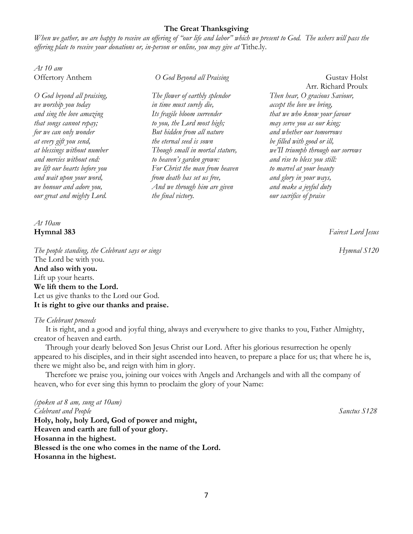# **The Great Thanksgiving**

*When we gather, we are happy to receive an offering of "our life and labor" which we present to God. The ushers will pass the offering plate to receive your donations or, in-person or online, you may give at* Tithe.ly*.*

*At 10 am*

*O God beyond all praising, we worship you today and sing the love amazing that songs cannot repay; for we can only wonder at every gift you send, at blessings without number and mercies without end: we lift our hearts before you and wait upon your word, we honour and adore you, our great and mighty Lord.*

*At 10am*

*The people standing, the Celebrant says or sings Hymnal S120* The Lord be with you. **And also with you.** Lift up your hearts. **We lift them to the Lord.** Let us give thanks to the Lord our God. **It is right to give our thanks and praise.**

#### *The Celebrant proceeds*

It is right, and a good and joyful thing, always and everywhere to give thanks to you, Father Almighty, creator of heaven and earth.

Through your dearly beloved Son Jesus Christ our Lord. After his glorious resurrection he openly appeared to his disciples, and in their sight ascended into heaven, to prepare a place for us; that where he is, there we might also be, and reign with him in glory.

Therefore we praise you, joining our voices with Angels and Archangels and with all the company of heaven, who for ever sing this hymn to proclaim the glory of your Name:

*(spoken at 8 am, sung at 10am) Celebrant and People Sanctus S128* **Holy, holy, holy Lord, God of power and might, Heaven and earth are full of your glory. Hosanna in the highest. Blessed is the one who comes in the name of the Lord. Hosanna in the highest.**

Offertory Anthem *O God Beyond all Praising* Gustav Holst

*The flower of earthly splendor in time must surely die, Its fragile bloom surrender to you, the Lord most high; But hidden from all nature the eternal seed is sown Though small in mortal stature, to heaven's garden grown: For Christ the man from heaven from death has set us free, And we through him are given the final victory.*

Arr. Richard Proulx *Then hear, O gracious Saviour, accept the love we bring, that we who know your favour may serve you as our king; and whether our tomorrows be filled with good or ill, we'II triumph through our sorrows and rise to bless you still: to marvel at your beauty and glory in your ways, and make a joyful duty our sacrifice of praise*

**Hymnal 383** *Fairest Lord Jesus*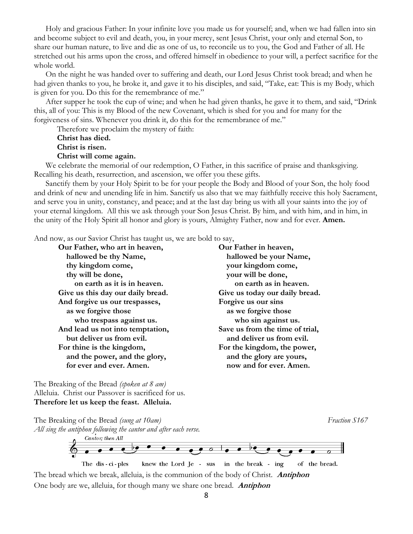Holy and gracious Father: In your infinite love you made us for yourself; and, when we had fallen into sin and become subject to evil and death, you, in your mercy, sent Jesus Christ, your only and eternal Son, to share our human nature, to live and die as one of us, to reconcile us to you, the God and Father of all. He stretched out his arms upon the cross, and offered himself in obedience to your will, a perfect sacrifice for the whole world.

On the night he was handed over to suffering and death, our Lord Jesus Christ took bread; and when he had given thanks to you, he broke it, and gave it to his disciples, and said, "Take, eat: This is my Body, which is given for you. Do this for the remembrance of me."

After supper he took the cup of wine; and when he had given thanks, he gave it to them, and said, "Drink this, all of you: This is my Blood of the new Covenant, which is shed for you and for many for the forgiveness of sins. Whenever you drink it, do this for the remembrance of me."

Therefore we proclaim the mystery of faith:

# **Christ has died. Christ is risen. Christ will come again.**

We celebrate the memorial of our redemption, O Father, in this sacrifice of praise and thanksgiving. Recalling his death, resurrection, and ascension, we offer you these gifts.

Sanctify them by your Holy Spirit to be for your people the Body and Blood of your Son, the holy food and drink of new and unending life in him. Sanctify us also that we may faithfully receive this holy Sacrament, and serve you in unity, constancy, and peace; and at the last day bring us with all your saints into the joy of your eternal kingdom. All this we ask through your Son Jesus Christ. By him, and with him, and in him, in the unity of the Holy Spirit all honor and glory is yours, Almighty Father, now and for ever. **Amen.**

And now, as our Savior Christ has taught us, we are bold to say,

| Our Father, who art in heaven,    |
|-----------------------------------|
| hallowed be thy Name,             |
| thy kingdom come,                 |
| thy will be done,                 |
| on earth as it is in heaven.      |
| Give us this day our daily bread. |
| And forgive us our trespasses,    |
| as we forgive those               |
| who trespass against us.          |
| And lead us not into temptation,  |
| but deliver us from evil.         |
| For thine is the kingdom,         |
| and the power, and the glory,     |
| for ever and ever. Amen.          |

**Our Father in heaven, hallowed be your Name, your kingdom come, your will be done, on earth as in heaven. Give us today our daily bread. Forgive us our sins as we forgive those who sin against us. Save us from the time of trial, and deliver us from evil. For the kingdom, the power, and the glory are yours, now and for ever. Amen.**

The Breaking of the Bread *(spoken at 8 am)* Alleluia. Christ our Passover is sacrificed for us. **Therefore let us keep the feast. Alleluia.**



The bread which we break, alleluia, is the communion of the body of Christ. **Antiphon** One body are we, alleluia, for though many we share one bread. **Antiphon**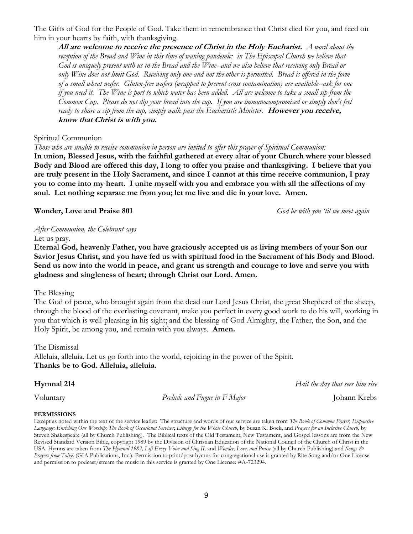The Gifts of God for the People of God. Take them in remembrance that Christ died for you, and feed on him in your hearts by faith, with thanksgiving.

**All are welcome to receive the presence of Christ in the Holy Eucharist.** *A word about the reception of the Bread and Wine in this time of waning pandemic: in The Episcopal Church we believe that God is uniquely present with us in the Bread and the Wine--and we also believe that receiving only Bread or only Wine does not limit God. Receiving only one and not the other is permitted. Bread is offered in the form of a small wheat wafer. Gluten-free wafers (wrapped to prevent cross contamination) are available--ask for one if you need it. The Wine is port to which water has been added. All are welcome to take a small sip from the Common Cup. Please do not dip your bread into the cup. If you are immunocompromised or simply don't feel ready to share a sip from the cup, simply walk past the Eucharistic Minister.* **However you receive, know that Christ is with you.**

# Spiritual Communion

*Those who are unable to receive communion in person are invited to offer this prayer of Spiritual Communion:*

**In union, Blessed Jesus, with the faithful gathered at every altar of your Church where your blessed Body and Blood are offered this day, I long to offer you praise and thanksgiving. I believe that you are truly present in the Holy Sacrament, and since I cannot at this time receive communion, I pray you to come into my heart. I unite myself with you and embrace you with all the affections of my soul. Let nothing separate me from you; let me live and die in your love. Amen.**

**Wonder, Love and Praise 801** *God be with you 'til we meet again*

## *After Communion, the Celebrant says* Let us pray.

**Eternal God, heavenly Father, you have graciously accepted us as living members of your Son our Savior Jesus Christ, and you have fed us with spiritual food in the Sacrament of his Body and Blood. Send us now into the world in peace, and grant us strength and courage to love and serve you with gladness and singleness of heart; through Christ our Lord. Amen.**

# The Blessing

The God of peace, who brought again from the dead our Lord Jesus Christ, the great Shepherd of the sheep, through the blood of the everlasting covenant, make you perfect in every good work to do his will, working in you that which is well-pleasing in his sight; and the blessing of God Almighty, the Father, the Son, and the Holy Spirit, be among you, and remain with you always. **Amen.**

The Dismissal Alleluia, alleluia. Let us go forth into the world, rejoicing in the power of the Spirit. **Thanks be to God. Alleluia, alleluia.**

Voluntary *Prelude and Fugue in F Major* Johann Krebs

**Hymnal 214** *Hail the day that sees him rise*

# **PERMISSIONS**

Except as noted within the text of the service leaflet: The structure and words of our service are taken from *The Book of Common Prayer, Expansive Language; Enriching Our Worship; The Book of Occasional Services*; *Liturgy for the Whole Church*, by Susan K. Bock, and *Prayers for an Inclusive Church,* by Steven Shakespeare (all by Church Publishing).The Biblical texts of the Old Testament, New Testament, and Gospel lessons are from the New Revised Standard Version Bible, copyright 1989 by the Division of Christian Education of the National Council of the Church of Christ in the USA. Hymns are taken from *The Hymnal 1982, Lift Every Voice and Sing II, and Wonder, Love, and Praise* (all by Church Publishing) and *Songs* & *Prayers from Taizé,* (GIA Publications, Inc.). Permission to print/post hymns for congregational use is granted by Rite Song and/or One License and permission to podcast/stream the music in this service is granted by One License: #A-723294.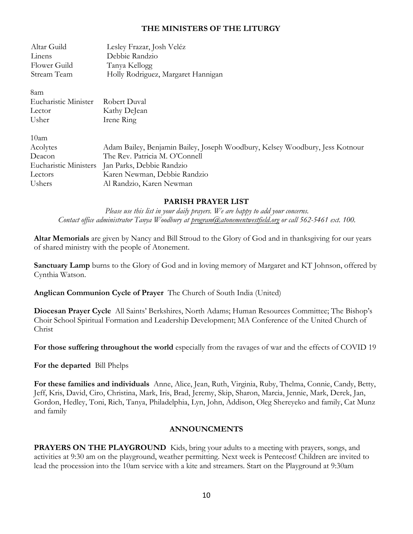# **THE MINISTERS OF THE LITURGY**

| Altar Guild<br>Lesley Frazar, Josh Veléz<br>Debbie Randzio<br>Linens<br>Flower Guild<br>Tanya Kellogg<br>Stream Team<br>Holly Rodriguez, Margaret Hannigan |  |
|------------------------------------------------------------------------------------------------------------------------------------------------------------|--|
| 8am                                                                                                                                                        |  |
| Eucharistic Minister<br>Robert Duval                                                                                                                       |  |
| Lector<br>Kathy DeJean                                                                                                                                     |  |
| Usher<br>Irene Ring                                                                                                                                        |  |
| 10am                                                                                                                                                       |  |
| Acolytes<br>Adam Bailey, Benjamin Bailey, Joseph Woodbury, Kelsey Woodbury, Jess Kotnour                                                                   |  |
| The Rev. Patricia M. O'Connell<br>Deacon                                                                                                                   |  |
| Eucharistic Ministers<br>Jan Parks, Debbie Randzio                                                                                                         |  |
| Karen Newman, Debbie Randzio<br>Lectors                                                                                                                    |  |
| Ushers<br>Al Randzio, Karen Newman                                                                                                                         |  |

# **PARISH PRAYER LIST**

*Please use this list in your daily prayers. We are happy to add your concerns. Contact office administrator Tanya Woodbury at [program@atonementwestfield.org](mailto:program@atonementwestfield.org) or call 562-5461 ext. 100.*

**Altar Memorials** are given by Nancy and Bill Stroud to the Glory of God and in thanksgiving for our years of shared ministry with the people of Atonement.

**Sanctuary Lamp** burns to the Glory of God and in loving memory of Margaret and KT Johnson, offered by Cynthia Watson.

**Anglican Communion Cycle of Prayer** The Church of South India (United)

**Diocesan Prayer Cycle** All Saints' Berkshires, North Adams; Human Resources Committee; The Bishop's Choir School Spiritual Formation and Leadership Development; MA Conference of the United Church of Christ

For those suffering throughout the world especially from the ravages of war and the effects of COVID 19

**For the departed** Bill Phelps

**For these families and individuals** Anne, Alice, Jean, Ruth, Virginia, Ruby, Thelma, Connie, Candy, Betty, Jeff, Kris, David, Ciro, Christina, Mark, Iris, Brad, Jeremy, Skip, Sharon, Marcia, Jennie, Mark, Derek, Jan, Gordon, Hedley, Toni, Rich, Tanya, Philadelphia, Lyn, John, Addison, Oleg Shereyeko and family, Cat Munz and family

# **ANNOUNCMENTS**

**PRAYERS ON THE PLAYGROUND** Kids, bring your adults to a meeting with prayers, songs, and activities at 9:30 am on the playground, weather permitting. Next week is Pentecost! Children are invited to lead the procession into the 10am service with a kite and streamers. Start on the Playground at 9:30am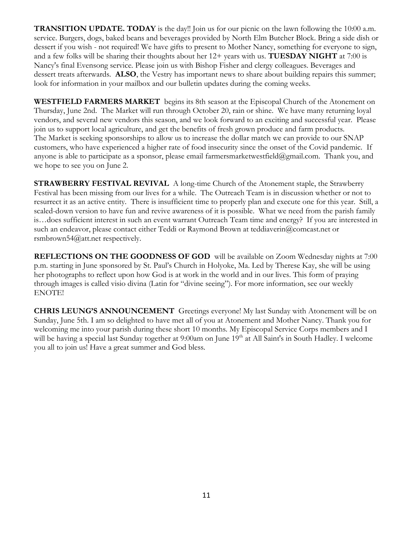**TRANSITION UPDATE. TODAY** is the day!! Join us for our picnic on the lawn following the 10:00 a.m. service. Burgers, dogs, baked beans and beverages provided by North Elm Butcher Block. Bring a side dish or dessert if you wish - not required! We have gifts to present to Mother Nancy, something for everyone to sign, and a few folks will be sharing their thoughts about her 12+ years with us. **TUESDAY NIGHT** at 7:00 is Nancy's final Evensong service. Please join us with Bishop Fisher and clergy colleagues. Beverages and dessert treats afterwards. **ALSO**, the Vestry has important news to share about building repairs this summer; look for information in your mailbox and our bulletin updates during the coming weeks.

**WESTFIELD FARMERS MARKET** begins its 8th season at the Episcopal Church of the Atonement on Thursday, June 2nd. The Market will run through October 20, rain or shine. We have many returning loyal vendors, and several new vendors this season, and we look forward to an exciting and successful year. Please join us to support local agriculture, and get the benefits of fresh grown produce and farm products. The Market is seeking sponsorships to allow us to increase the dollar match we can provide to our SNAP customers, who have experienced a higher rate of food insecurity since the onset of the Covid pandemic. If anyone is able to participate as a sponsor, please email farmersmarketwestfield@gmail.com. Thank you, and we hope to see you on June 2.

**STRAWBERRY FESTIVAL REVIVAL** A long-time Church of the Atonement staple, the Strawberry Festival has been missing from our lives for a while. The Outreach Team is in discussion whether or not to resurrect it as an active entity. There is insufficient time to properly plan and execute one for this year. Still, a scaled-down version to have fun and revive awareness of it is possible. What we need from the parish family is…does sufficient interest in such an event warrant Outreach Team time and energy? If you are interested in such an endeavor, please contact either Teddi or Raymond Brown at teddiaverin@comcast.net or rsmbrown54@att.net respectively.

**REFLECTIONS ON THE GOODNESS OF GOD** will be available on Zoom Wednesday nights at 7:00 p.m. starting in June sponsored by St. Paul's Church in Holyoke, Ma. Led by Therese Kay, she will be using her photographs to reflect upon how God is at work in the world and in our lives. This form of praying through images is called visio divina (Latin for "divine seeing"). For more information, see our weekly ENOTE!

**CHRIS LEUNG'S ANNOUNCEMENT** Greetings everyone! My last Sunday with Atonement will be on Sunday, June 5th. I am so delighted to have met all of you at Atonement and Mother Nancy. Thank you for welcoming me into your parish during these short 10 months. My Episcopal Service Corps members and I will be having a special last Sunday together at 9:00am on June 19<sup>th</sup> at All Saint's in South Hadley. I welcome you all to join us! Have a great summer and God bless.